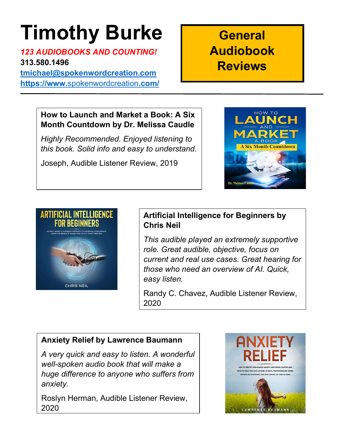# Timothy Burke

123 AUDIOBOOKS AND COUNTING! 313.580.1496

tmichael@spokenwordcreation.com https://www.spokenwordcreation.com/

# **General** Audiobook **Reviews**

#### How to Launch and Market a Book: A Six Month Countdown by Dr. Melissa Caudle

Highly Recommended. Enjoyed listening to this book. Solid info and easy to understand.

Joseph, Audible Listener Review, 2019





# Artificial Intelligence for Beginners by Chris Neil

This audible played an extremely supportive role. Great audible, objective, focus on current and real use cases. Great hearing for those who need an overview of AI. Quick, easy listen.

Randy C. Chavez, Audible Listener Review, 2020

# Anxiety Relief by Lawrence Baumann

A very quick and easy to listen. A wonderful well-spoken audio book that will make a huge difference to anyone who suffers from anxiety.

Roslyn Herman, Audible Listener Review, 2020